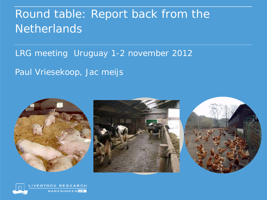# Round table: Report back from the **Netherlands**

LRG meeting Uruguay 1-2 november 2012

Paul Vriesekoop, Jac meijs



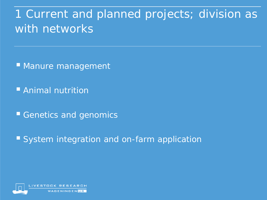1 Current and planned projects; division as with networks

**Manure management** 

**Animal nutrition** 

Genetics and genomics

System integration and on-farm application

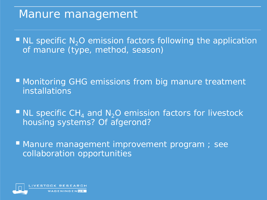#### Manure management

 $\blacksquare$  NL specific N<sub>2</sub>O emission factors following the application of manure (type, method, season)

**Monitoring GHG emissions from big manure treatment** installations

 $\blacksquare$  NL specific CH<sub>4</sub> and N<sub>2</sub>O emission factors for livestock housing systems? Of afgerond?

**Manure management improvement program** ; see collaboration opportunities

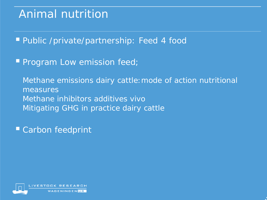# Animal nutrition

**Public /private/partnership: Feed 4 food** 

**Program Low emission feed;** 

Methane emissions dairy cattle:mode of action nutritional measures Methane inhibitors additives vivo Mitigating GHG in practice dairy cattle

Carbon feedprint

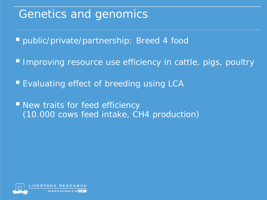# Genetics and genomics

public/private/partnership: Breed 4 food

- **Improving resource use efficiency in cattle, pigs, poultry**
- **Evaluating effect of breeding using LCA**
- **New traits for feed efficiency** (10.000 cows feed intake, CH4 production)

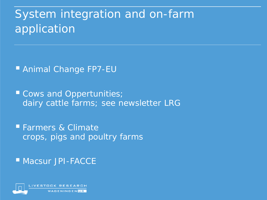# System integration and on-farm application

■ Animal Change FP7-EU

Cows and Oppertunities; dairy cattle farms; see newsletter LRG

**Farmers & Climate** crops, pigs and poultry farms

**Macsur JPI-FACCE** 

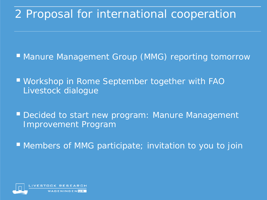### 2 Proposal for international cooperation

- **Manure Management Group (MMG) reporting tomorrow**
- Workshop in Rome September together with FAO Livestock dialogue
- **Decided to start new program: Manure Management** Improvement Program
- **Members of MMG participate; invitation to you to join**

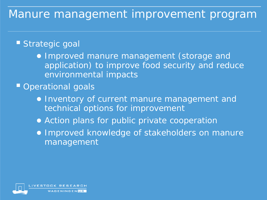#### Manure management improvement program

#### Strategic goal

- Improved manure management (storage and application) to improve food security and reduce environmental impacts
- **Operational goals** 
	- Inventory of current manure management and technical options for improvement
	- Action plans for public private cooperation
	- Improved knowledge of stakeholders on manure management

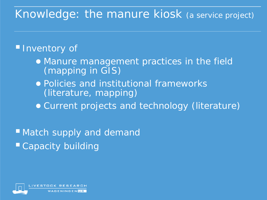### Knowledge: the manure kiosk (a service project)

#### **Inventory of**

- Manure management practices in the field (mapping in GIS)
- Policies and institutional frameworks (literature, mapping)
- Current projects and technology (literature)

■ Match supply and demand ■ Capacity building